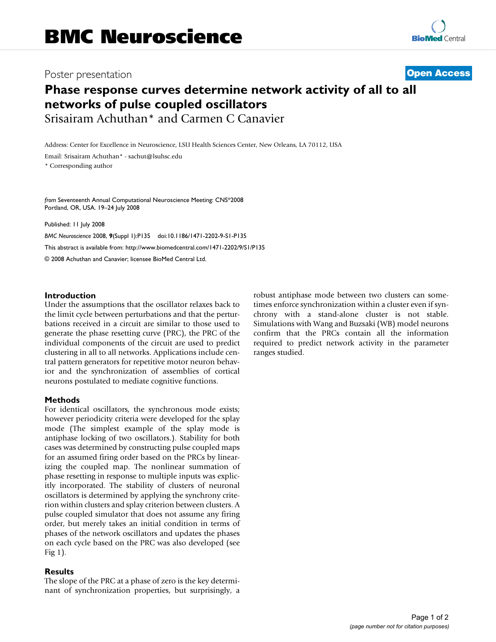# Poster presentation **Contract Contract Contract Contract Contract Contract Contract Contract Contract Contract Contract Contract Contract Contract Contract Contract Contract Contract Contract Contract Contract Contract Con**

# **Phase response curves determine network activity of all to all networks of pulse coupled oscillators** Srisairam Achuthan\* and Carmen C Canavier

Address: Center for Excellence in Neuroscience, LSU Health Sciences Center, New Orleans, LA 70112, USA

Email: Srisairam Achuthan\* - sachut@lsuhsc.edu

\* Corresponding author

*from* Seventeenth Annual Computational Neuroscience Meeting: CNS\*2008 Portland, OR, USA. 19–24 July 2008

Published: 11 July 2008

*BMC Neuroscience* 2008, **9**(Suppl 1):P135 doi:10.1186/1471-2202-9-S1-P135 [This abstract is available from: http://www.biomedcentral.com/1471-2202/9/S1/P135](http://www.biomedcentral.com/1471-2202/9/S1/P135) © 2008 Achuthan and Canavier; licensee BioMed Central Ltd.

# **Introduction**

Under the assumptions that the oscillator relaxes back to the limit cycle between perturbations and that the perturbations received in a circuit are similar to those used to generate the phase resetting curve (PRC), the PRC of the individual components of the circuit are used to predict clustering in all to all networks. Applications include central pattern generators for repetitive motor neuron behavior and the synchronization of assemblies of cortical neurons postulated to mediate cognitive functions.

## **Methods**

For identical oscillators, the synchronous mode exists; however periodicity criteria were developed for the splay mode (The simplest example of the splay mode is antiphase locking of two oscillators.). Stability for both cases was determined by constructing pulse coupled maps for an assumed firing order based on the PRCs by linearizing the coupled map. The nonlinear summation of phase resetting in response to multiple inputs was explicitly incorporated. The stability of clusters of neuronal oscillators is determined by applying the synchrony criterion within clusters and splay criterion between clusters. A pulse coupled simulator that does not assume any firing order, but merely takes an initial condition in terms of phases of the network oscillators and updates the phases on each cycle based on the PRC was also developed (see Fig 1).

## **Results**

The slope of the PRC at a phase of zero is the key determinant of synchronization properties, but surprisingly, a robust antiphase mode between two clusters can sometimes enforce synchronization within a cluster even if synchrony with a stand-alone cluster is not stable. Simulations with Wang and Buzsaki (WB) model neurons confirm that the PRCs contain all the information required to predict network activity in the parameter ranges studied.